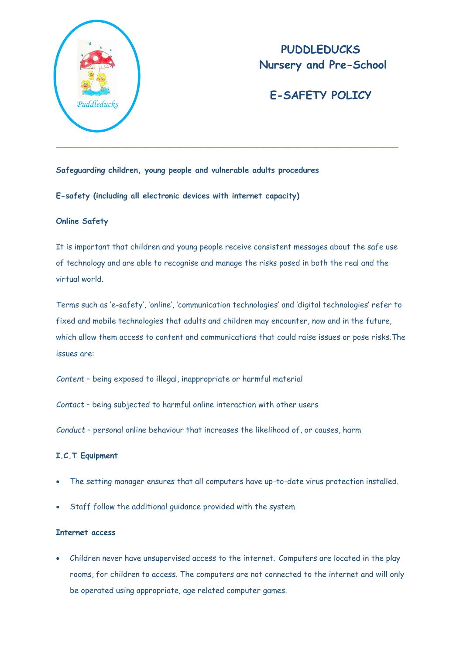

# **PUDDLEDUCKS Nursery and Pre-School**

# **E-SAFETY POLICY**

**Safeguarding children, young people and vulnerable adults procedures**

# **E-safety (including all electronic devices with internet capacity)**

# **Online Safety**

It is important that children and young people receive consistent messages about the safe use of technology and are able to recognise and manage the risks posed in both the real and the virtual world.

Terms such as 'e-safety', 'online', 'communication technologies' and 'digital technologies' refer to fixed and mobile technologies that adults and children may encounter, now and in the future, which allow them access to content and communications that could raise issues or pose risks.The issues are:

*Content* – being exposed to illegal, inappropriate or harmful material

*Contact* – being subjected to harmful online interaction with other users

*Conduct* – personal online behaviour that increases the likelihood of, or causes, harm

# **I.C.T Equipment**

- The setting manager ensures that all computers have up-to-date virus protection installed.
- Staff follow the additional guidance provided with the system

# **Internet access**

 Children never have unsupervised access to the internet. Computers are located in the play rooms, for children to access. The computers are not connected to the internet and will only be operated using appropriate, age related computer games.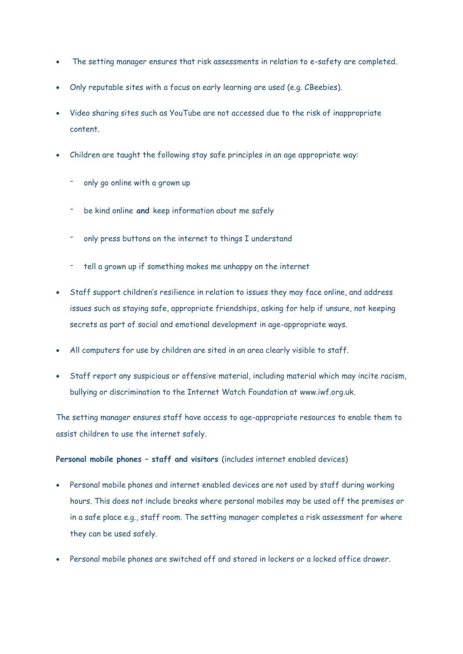- The setting manager ensures that risk assessments in relation to e-safety are completed.
- Only reputable sites with a focus on early learning are used (e.g. CBeebies).
- Video sharing sites such as YouTube are not accessed due to the risk of inappropriate content.
- Children are taught the following stay safe principles in an age appropriate way:
	- only go online with a grown up
	- be kind online **and** keep information about me safely
	- only press buttons on the internet to things I understand
	- tell a grown up if something makes me unhappy on the internet
- Staff support children's resilience in relation to issues they may face online, and address issues such as staying safe, appropriate friendships, asking for help if unsure, not keeping secrets as part of social and emotional development in age-appropriate ways.
- All computers for use by children are sited in an area clearly visible to staff.
- Staff report any suspicious or offensive material, including material which may incite racism, bullying or discrimination to the Internet Watch Foundation at [www.iwf.org.uk.](http://www.iwf.org.uk/)

The setting manager ensures staff have access to age-appropriate resources to enable them to assist children to use the internet safely.

#### **Personal mobile phones – staff and visitors** (includes internet enabled devices)

- Personal mobile phones and internet enabled devices are not used by staff during working hours. This does not include breaks where personal mobiles may be used off the premises or in a safe place e.g., staff room. The setting manager completes a risk assessment for where they can be used safely.
- Personal mobile phones are switched off and stored in lockers or a locked office drawer.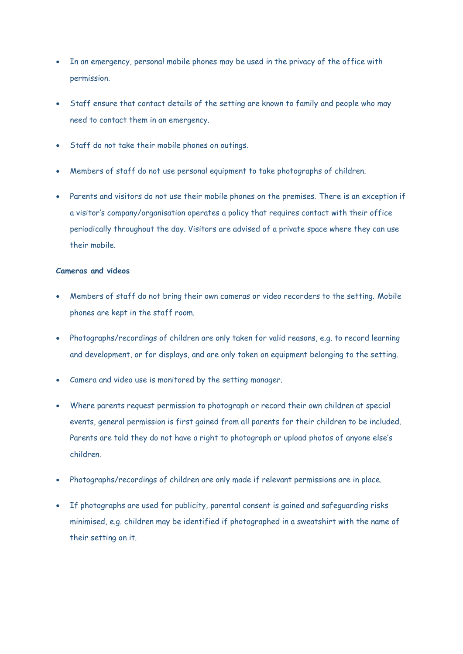- In an emergency, personal mobile phones may be used in the privacy of the office with permission.
- Staff ensure that contact details of the setting are known to family and people who may need to contact them in an emergency.
- Staff do not take their mobile phones on outings.
- Members of staff do not use personal equipment to take photographs of children.
- Parents and visitors do not use their mobile phones on the premises. There is an exception if a visitor's company/organisation operates a policy that requires contact with their office periodically throughout the day. Visitors are advised of a private space where they can use their mobile.

# **Cameras and videos**

- Members of staff do not bring their own cameras or video recorders to the setting. Mobile phones are kept in the staff room.
- Photographs/recordings of children are only taken for valid reasons, e.g. to record learning and development, or for displays, and are only taken on equipment belonging to the setting.
- Camera and video use is monitored by the setting manager.
- Where parents request permission to photograph or record their own children at special events, general permission is first gained from all parents for their children to be included. Parents are told they do not have a right to photograph or upload photos of anyone else's children.
- Photographs/recordings of children are only made if relevant permissions are in place.
- If photographs are used for publicity, parental consent is gained and safeguarding risks minimised, e.g. children may be identified if photographed in a sweatshirt with the name of their setting on it.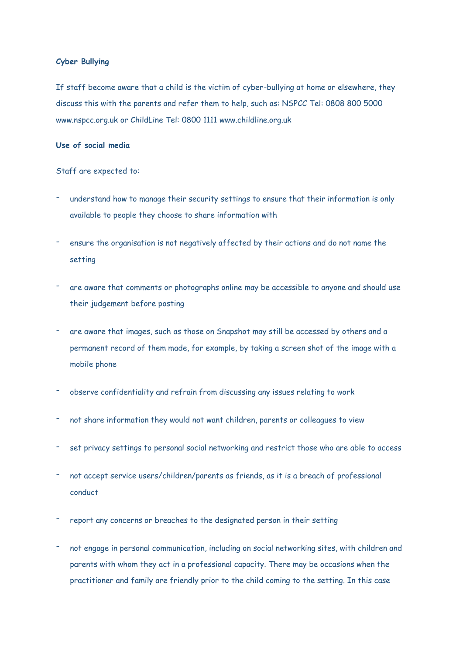#### **Cyber Bullying**

If staff become aware that a child is the victim of cyber-bullying at home or elsewhere, they discuss this with the parents and refer them to help, such as: NSPCC Tel: 0808 800 5000 [www.nspcc.org.uk](http://www.nspcc.org.uk/) or ChildLine Tel: 0800 1111 [www.childline.org.uk](http://www.childline.org.uk/)

## **Use of social media**

Staff are expected to:

- understand how to manage their security settings to ensure that their information is only available to people they choose to share information with
- ensure the organisation is not negatively affected by their actions and do not name the setting
- are aware that comments or photographs online may be accessible to anyone and should use their judgement before posting
- are aware that images, such as those on Snapshot may still be accessed by others and a permanent record of them made, for example, by taking a screen shot of the image with a mobile phone
- observe confidentiality and refrain from discussing any issues relating to work
- not share information they would not want children, parents or colleagues to view
- set privacy settings to personal social networking and restrict those who are able to access
- not accept service users/children/parents as friends, as it is a breach of professional conduct
- report any concerns or breaches to the designated person in their setting
- not engage in personal communication, including on social networking sites, with children and parents with whom they act in a professional capacity. There may be occasions when the practitioner and family are friendly prior to the child coming to the setting. In this case